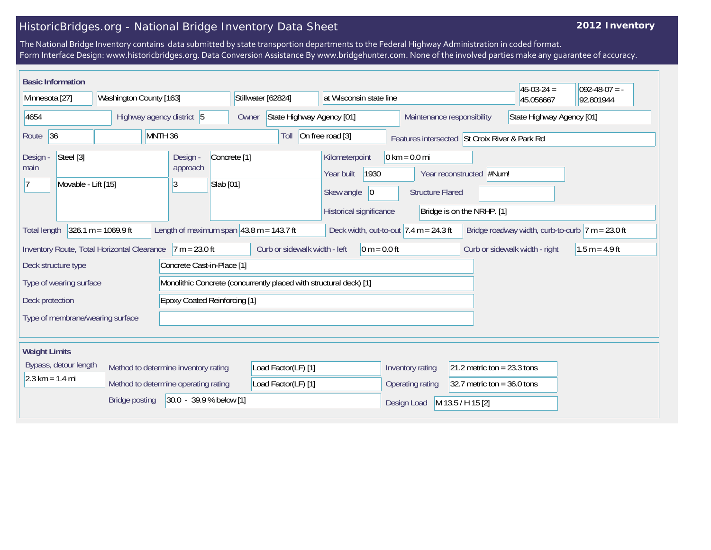## HistoricBridges.org - National Bridge Inventory Data Sheet

## **2012 Inventory**

The National Bridge Inventory contains data submitted by state transportion departments to the Federal Highway Administration in coded format. Form Interface Design: www.historicbridges.org. Data Conversion Assistance By www.bridgehunter.com. None of the involved parties make any guarantee of accuracy.

| <b>Basic Information</b>                                                                                                                                                                                                       |                                      |                                                                    |                                                                           |                                                                                              |                                                            |                                                        | $45-03-24 =$ | $092-48-07 = -$ |
|--------------------------------------------------------------------------------------------------------------------------------------------------------------------------------------------------------------------------------|--------------------------------------|--------------------------------------------------------------------|---------------------------------------------------------------------------|----------------------------------------------------------------------------------------------|------------------------------------------------------------|--------------------------------------------------------|--------------|-----------------|
| Minnesota [27]<br>Washington County [163]                                                                                                                                                                                      |                                      | Stillwater [62824]<br>at Wisconsin state line                      |                                                                           |                                                                                              |                                                            | 45.056667                                              | 92.801944    |                 |
| 4654<br>Highway agency district 5                                                                                                                                                                                              |                                      | Owner                                                              | State Highway Agency [01]                                                 |                                                                                              | Maintenance responsibility                                 | State Highway Agency [01]                              |              |                 |
| 36<br>Route                                                                                                                                                                                                                    |                                      | MNTH <sub>36</sub>                                                 | On free road [3]<br>Toll<br>Features intersected St Croix River & Park Rd |                                                                                              |                                                            |                                                        |              |                 |
| Steel [3]<br>Design -<br>main<br>Movable - Lift [15]                                                                                                                                                                           |                                      | Design -<br>Concrete <sup>[1]</sup><br>approach<br>Slab [01]<br>3  |                                                                           | Kilometerpoint<br>1930<br>Year built<br>Skew angle<br>$ 0\rangle$<br>Historical significance | $0 \text{ km} = 0.0 \text{ mi}$<br><b>Structure Flared</b> | Year reconstructed #Num!<br>Bridge is on the NRHP. [1] |              |                 |
| $326.1 m = 1069.9 ft$<br>Length of maximum span $ 43.8 \text{ m} = 143.7 \text{ ft}$<br>Deck width, out-to-out $7.4 \text{ m} = 24.3 \text{ ft}$<br>Bridge roadway width, curb-to-curb $ 7 m = 23.0 ft$<br><b>Total length</b> |                                      |                                                                    |                                                                           |                                                                                              |                                                            |                                                        |              |                 |
| Curb or sidewalk width - left<br>$0 m = 0.0 ft$<br>Curb or sidewalk width - right<br>Inventory Route, Total Horizontal Clearance<br>$7 m = 23.0 ft$<br>Deck structure type<br>Concrete Cast-in-Place [1]                       |                                      |                                                                    |                                                                           |                                                                                              | $1.5 m = 4.9 ft$                                           |                                                        |              |                 |
| Type of wearing surface                                                                                                                                                                                                        |                                      | Monolithic Concrete (concurrently placed with structural deck) [1] |                                                                           |                                                                                              |                                                            |                                                        |              |                 |
| <b>Epoxy Coated Reinforcing [1]</b><br>Deck protection                                                                                                                                                                         |                                      |                                                                    |                                                                           |                                                                                              |                                                            |                                                        |              |                 |
| Type of membrane/wearing surface                                                                                                                                                                                               |                                      |                                                                    |                                                                           |                                                                                              |                                                            |                                                        |              |                 |
| <b>Weight Limits</b>                                                                                                                                                                                                           |                                      |                                                                    |                                                                           |                                                                                              |                                                            |                                                        |              |                 |
| Bypass, detour length<br>Method to determine inventory rating                                                                                                                                                                  |                                      |                                                                    | Load Factor(LF) [1]                                                       |                                                                                              | 21.2 metric ton = $23.3$ tons<br>Inventory rating          |                                                        |              |                 |
| $2.3 \text{ km} = 1.4 \text{ mi}$                                                                                                                                                                                              | Method to determine operating rating |                                                                    |                                                                           |                                                                                              | Operating rating                                           | 32.7 metric ton = $36.0$ tons                          |              |                 |
|                                                                                                                                                                                                                                | <b>Bridge posting</b>                | 30.0 - 39.9 % below [1]                                            |                                                                           |                                                                                              | Design Load                                                | M 13.5 / H 15 [2]                                      |              |                 |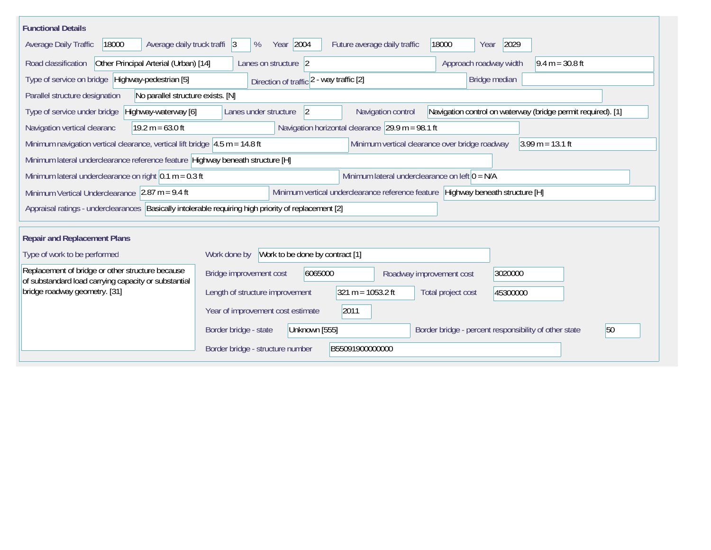| <b>Functional Details</b>                                                                                                                              |                                                                                                                                                                                         |                                                  |                                                              |  |  |  |  |
|--------------------------------------------------------------------------------------------------------------------------------------------------------|-----------------------------------------------------------------------------------------------------------------------------------------------------------------------------------------|--------------------------------------------------|--------------------------------------------------------------|--|--|--|--|
| Average daily truck traffi 3<br>Average Daily Traffic<br>18000                                                                                         | Year 2004<br>%                                                                                                                                                                          | Future average daily traffic                     | 18000<br>2029<br>Year                                        |  |  |  |  |
| Other Principal Arterial (Urban) [14]<br>Road classification<br>Approach roadway width<br>$9.4 m = 30.8 ft$<br>Lanes on structure 2                    |                                                                                                                                                                                         |                                                  |                                                              |  |  |  |  |
| Type of service on bridge   Highway-pedestrian [5]<br>Bridge median<br>Direction of traffic 2 - way traffic [2]                                        |                                                                                                                                                                                         |                                                  |                                                              |  |  |  |  |
| Parallel structure designation<br>No parallel structure exists. [N]                                                                                    |                                                                                                                                                                                         |                                                  |                                                              |  |  |  |  |
| Type of service under bridge<br>Highway-waterway [6]                                                                                                   | Lanes under structure<br>$\overline{2}$                                                                                                                                                 | Navigation control                               | Navigation control on waterway (bridge permit required). [1] |  |  |  |  |
| Navigation horizontal clearance $29.9 \text{ m} = 98.1 \text{ ft}$<br>Navigation vertical clearanc<br>$19.2 m = 63.0 ft$                               |                                                                                                                                                                                         |                                                  |                                                              |  |  |  |  |
|                                                                                                                                                        | Minimum navigation vertical clearance, vertical lift bridge $ 4.5 \text{ m} = 14.8 \text{ ft} $<br>Minimum vertical clearance over bridge roadway<br>$3.99 \text{ m} = 13.1 \text{ ft}$ |                                                  |                                                              |  |  |  |  |
| Minimum lateral underclearance reference feature Highway beneath structure [H]                                                                         |                                                                                                                                                                                         |                                                  |                                                              |  |  |  |  |
| Minimum lateral underclearance on right $0.1$ m = 0.3 ft                                                                                               |                                                                                                                                                                                         | Minimum lateral underclearance on left $0 = N/A$ |                                                              |  |  |  |  |
| Minimum vertical underclearance reference feature Highway beneath structure [H]<br>Minimum Vertical Underclearance $ 2.87 \text{ m} = 9.4 \text{ ft} $ |                                                                                                                                                                                         |                                                  |                                                              |  |  |  |  |
| Appraisal ratings - underclearances Basically intolerable requiring high priority of replacement [2]                                                   |                                                                                                                                                                                         |                                                  |                                                              |  |  |  |  |
| <b>Repair and Replacement Plans</b>                                                                                                                    |                                                                                                                                                                                         |                                                  |                                                              |  |  |  |  |
| Type of work to be performed                                                                                                                           | Work to be done by contract [1]<br>Work done by                                                                                                                                         |                                                  |                                                              |  |  |  |  |
| Replacement of bridge or other structure because<br>of substandard load carrying capacity or substantial                                               | 6065000<br>Bridge improvement cost                                                                                                                                                      | Roadway improvement cost                         | 3020000                                                      |  |  |  |  |
| bridge roadway geometry. [31]                                                                                                                          | Length of structure improvement                                                                                                                                                         | $321 m = 1053.2 ft$                              | Total project cost<br>45300000                               |  |  |  |  |
|                                                                                                                                                        | Year of improvement cost estimate                                                                                                                                                       | 2011                                             |                                                              |  |  |  |  |
|                                                                                                                                                        | Border bridge - state<br>Unknown [555]                                                                                                                                                  |                                                  | 50<br>Border bridge - percent responsibility of other state  |  |  |  |  |
|                                                                                                                                                        | Border bridge - structure number                                                                                                                                                        | B55091900000000                                  |                                                              |  |  |  |  |